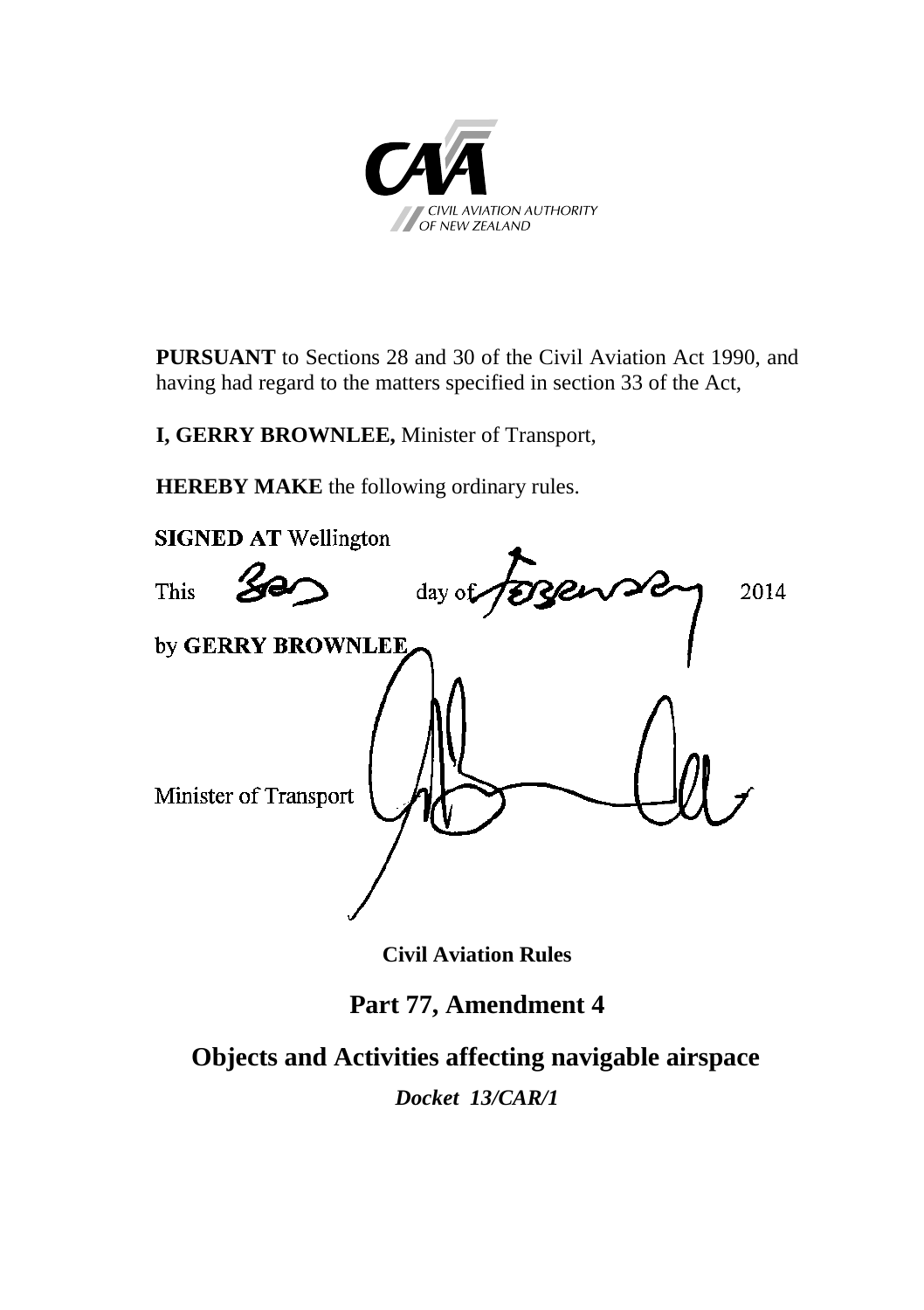

**PURSUANT** to Sections 28 and 30 of the Civil Aviation Act 1990, and having had regard to the matters specified in section 33 of the Act,

**I, GERRY BROWNLEE,** Minister of Transport,

**HEREBY MAKE** the following ordinary rules.



**Civil Aviation Rules**

# **Part 77, Amendment 4**

**Objects and Activities affecting navigable airspace**

*Docket 13/CAR/1*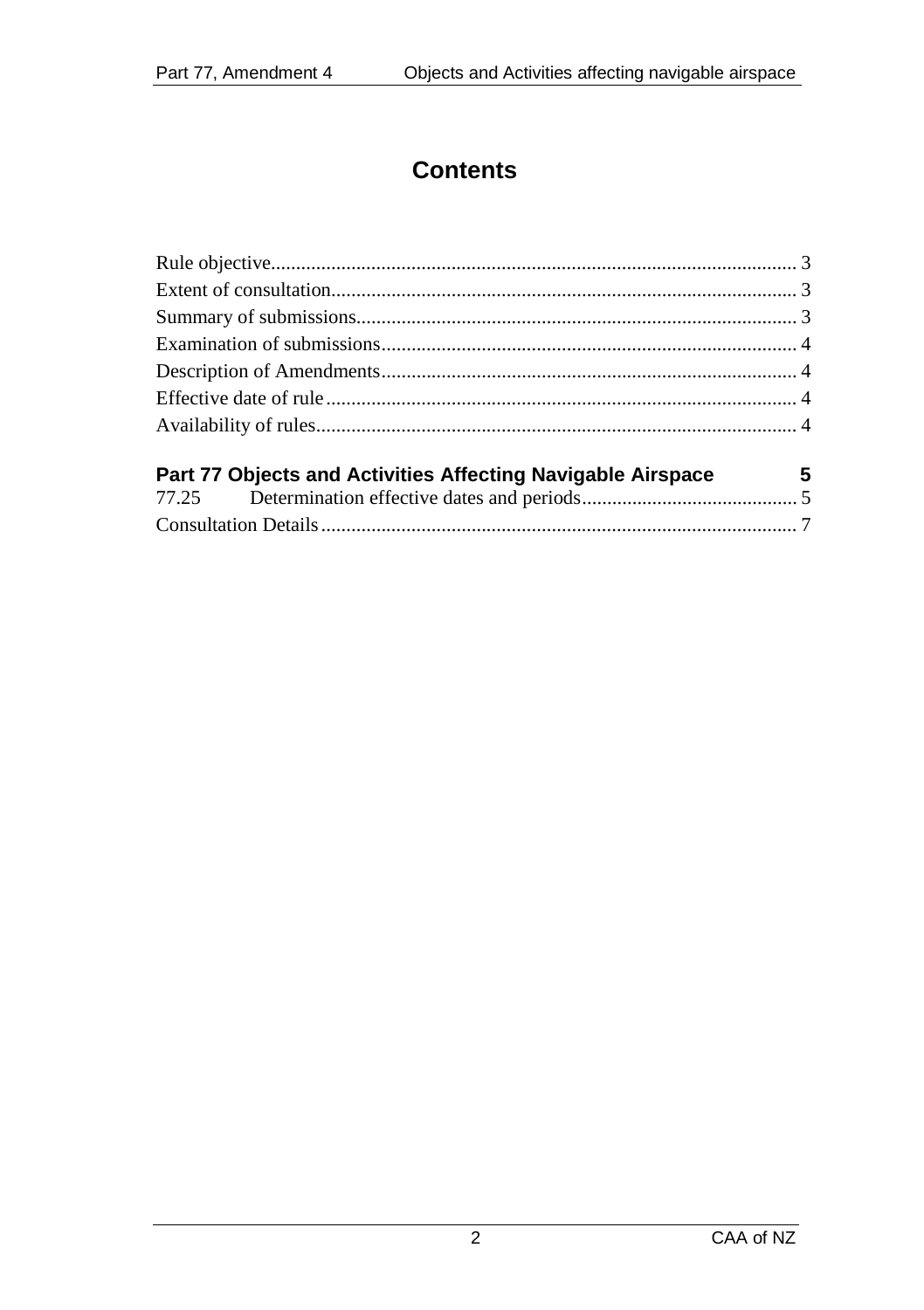# **Contents**

| $\overline{\phantom{0}}$ 5<br>Part 77 Objects and Activities Affecting Navigable Airspace |  |
|-------------------------------------------------------------------------------------------|--|
|                                                                                           |  |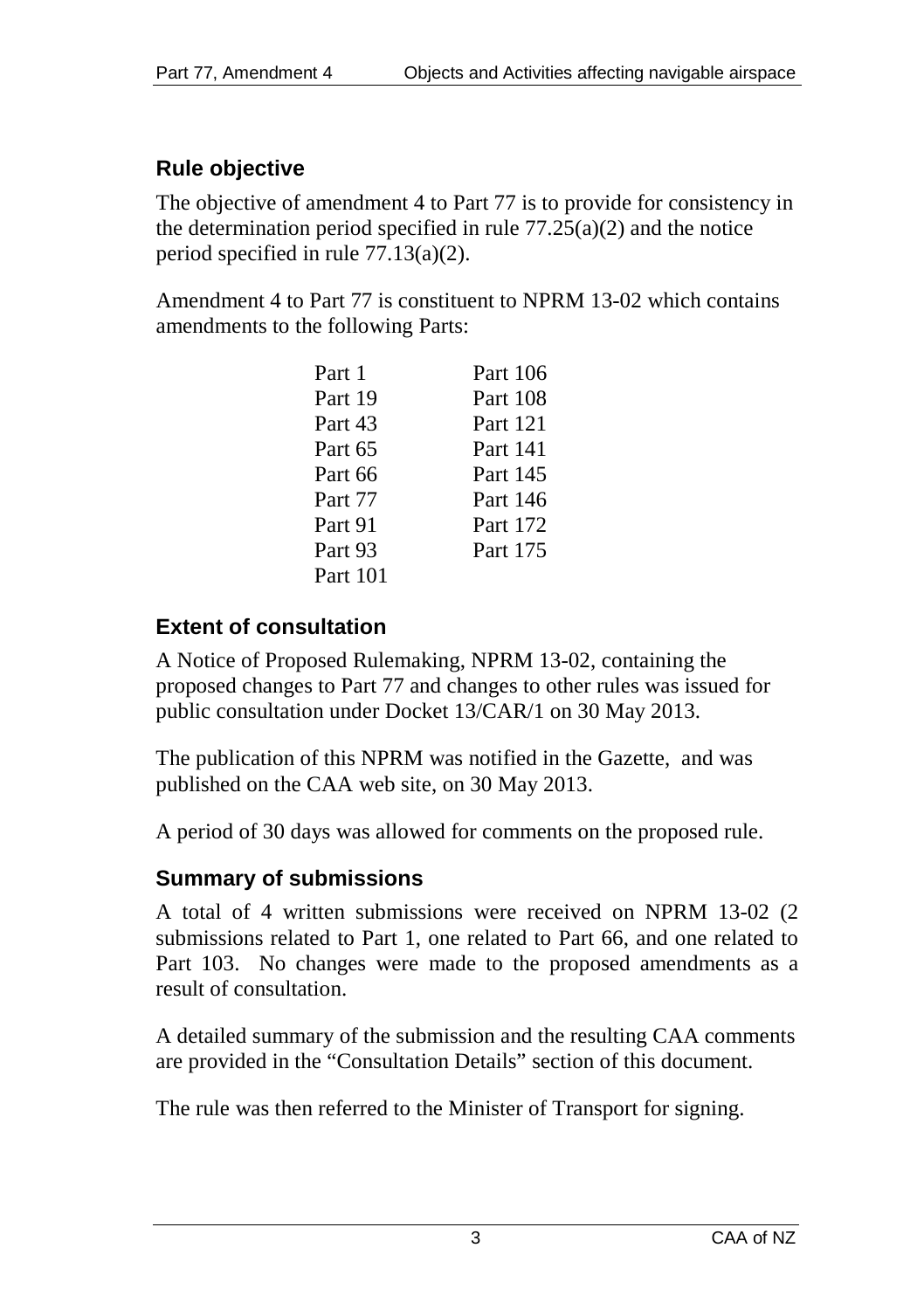# <span id="page-2-0"></span>**Rule objective**

The objective of amendment 4 to Part 77 is to provide for consistency in the determination period specified in rule  $77.25(a)(2)$  and the notice period specified in rule 77.13(a)(2).

Amendment 4 to Part 77 is constituent to NPRM 13-02 which contains amendments to the following Parts:

| Part 1   | Part 106 |
|----------|----------|
| Part 19  | Part 108 |
| Part 43  | Part 121 |
| Part 65  | Part 141 |
| Part 66  | Part 145 |
| Part 77  | Part 146 |
| Part 91  | Part 172 |
| Part 93  | Part 175 |
| Part 101 |          |

# <span id="page-2-1"></span>**Extent of consultation**

A Notice of Proposed Rulemaking, NPRM 13-02, containing the proposed changes to Part 77 and changes to other rules was issued for public consultation under Docket 13/CAR/1 on 30 May 2013.

The publication of this NPRM was notified in the Gazette, and was published on the CAA web site, on 30 May 2013.

A period of 30 days was allowed for comments on the proposed rule.

## <span id="page-2-2"></span>**Summary of submissions**

A total of 4 written submissions were received on NPRM 13-02 (2 submissions related to Part 1, one related to Part 66, and one related to Part 103. No changes were made to the proposed amendments as a result of consultation.

A detailed summary of the submission and the resulting CAA comments are provided in the "Consultation Details" section of this document.

The rule was then referred to the Minister of Transport for signing.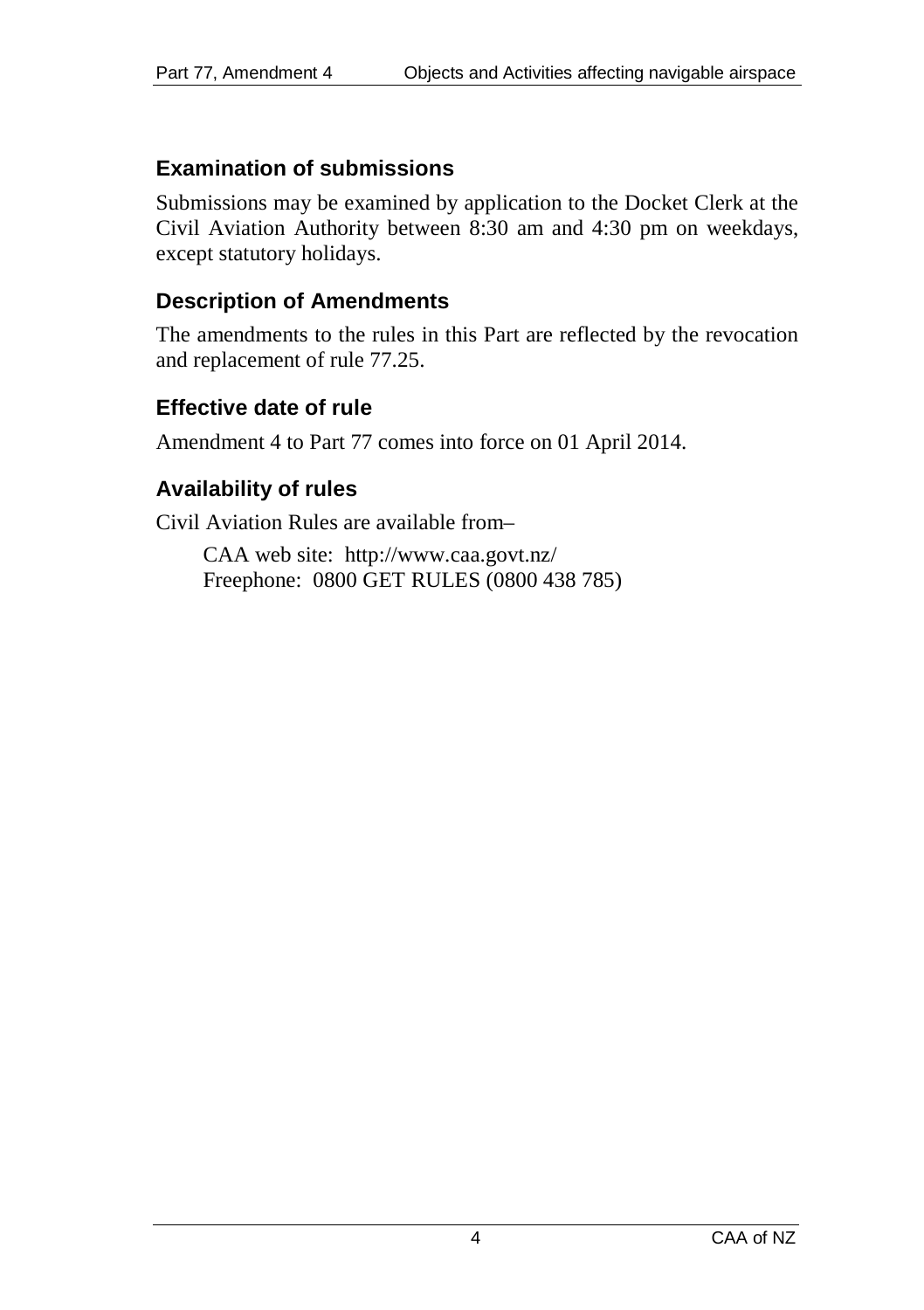#### <span id="page-3-0"></span>**Examination of submissions**

Submissions may be examined by application to the Docket Clerk at the Civil Aviation Authority between 8:30 am and 4:30 pm on weekdays, except statutory holidays.

#### <span id="page-3-1"></span>**Description of Amendments**

The amendments to the rules in this Part are reflected by the revocation and replacement of rule 77.25.

### <span id="page-3-2"></span>**Effective date of rule**

Amendment 4 to Part 77 comes into force on 01 April 2014.

## <span id="page-3-3"></span>**Availability of rules**

Civil Aviation Rules are available from–

CAA web site:<http://www.caa.govt.nz/> Freephone: 0800 GET RULES (0800 438 785)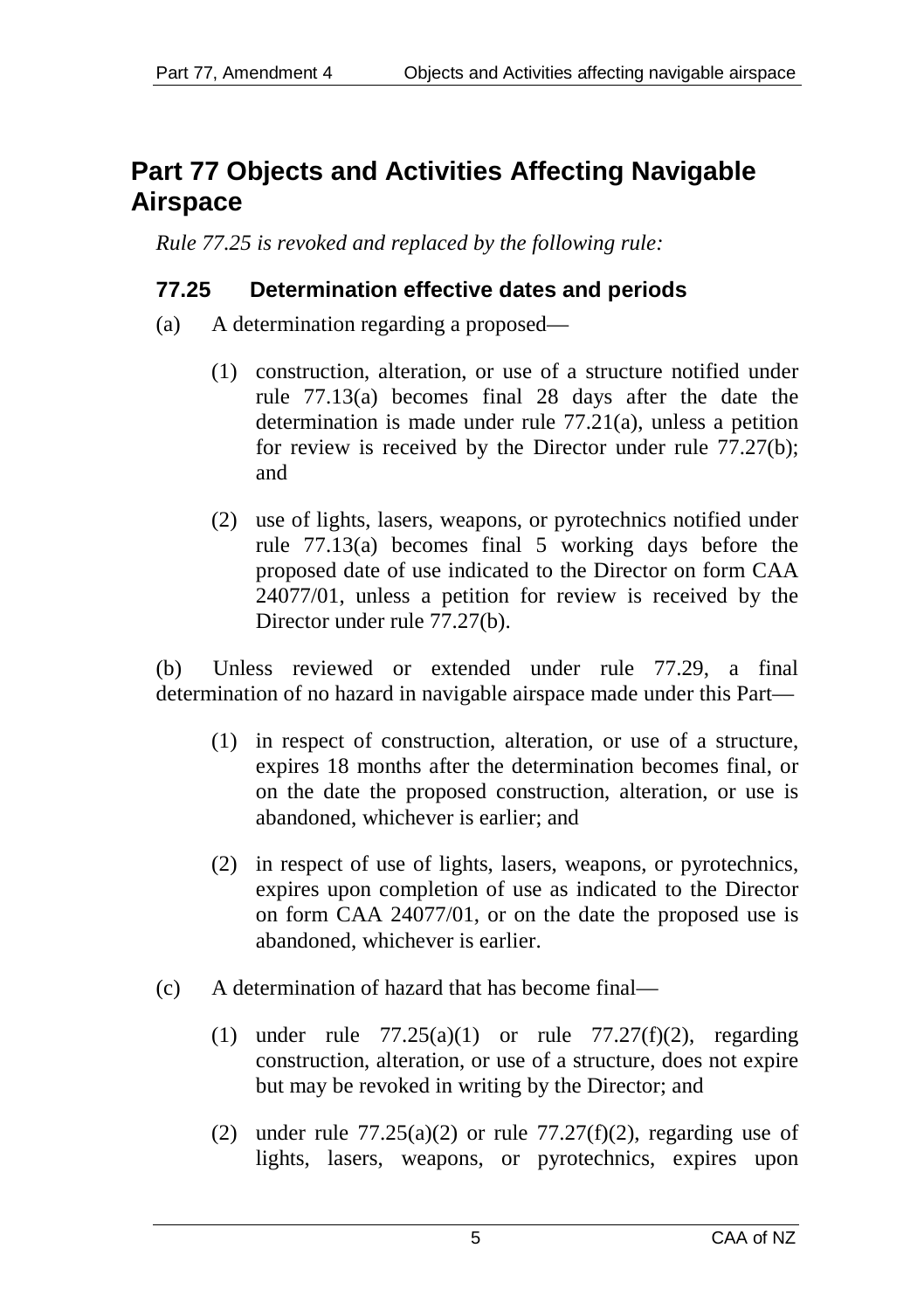# <span id="page-4-0"></span>**Part 77 Objects and Activities Affecting Navigable Airspace**

*Rule 77.25 is revoked and replaced by the following rule:* 

## <span id="page-4-1"></span>**77.25 Determination effective dates and periods**

- (a) A determination regarding a proposed—
	- (1) construction, alteration, or use of a structure notified under rule 77.13(a) becomes final 28 days after the date the determination is made under rule 77.21(a), unless a petition for review is received by the Director under rule 77.27(b); and
	- (2) use of lights, lasers, weapons, or pyrotechnics notified under rule 77.13(a) becomes final 5 working days before the proposed date of use indicated to the Director on form CAA 24077/01, unless a petition for review is received by the Director under rule 77.27(b).

(b) Unless reviewed or extended under rule 77.29, a final determination of no hazard in navigable airspace made under this Part—

- (1) in respect of construction, alteration, or use of a structure, expires 18 months after the determination becomes final, or on the date the proposed construction, alteration, or use is abandoned, whichever is earlier; and
- (2) in respect of use of lights, lasers, weapons, or pyrotechnics, expires upon completion of use as indicated to the Director on form CAA 24077/01, or on the date the proposed use is abandoned, whichever is earlier.
- (c) A determination of hazard that has become final—
	- (1) under rule  $77.25(a)(1)$  or rule  $77.27(f)(2)$ , regarding construction, alteration, or use of a structure, does not expire but may be revoked in writing by the Director; and
	- (2) under rule  $77.25(a)(2)$  or rule  $77.27(f)(2)$ , regarding use of lights, lasers, weapons, or pyrotechnics, expires upon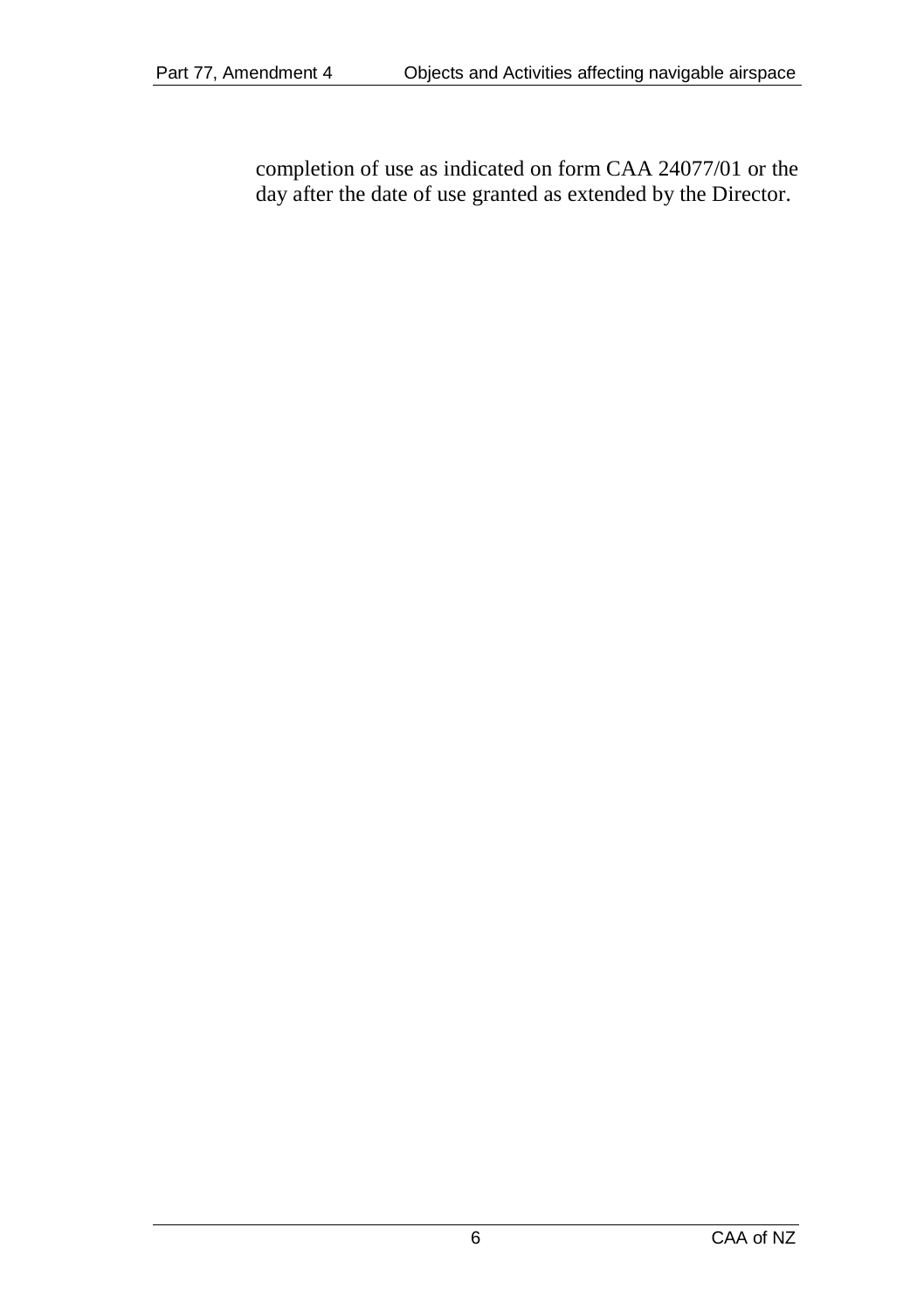completion of use as indicated on form CAA 24077/01 or the day after the date of use granted as extended by the Director.